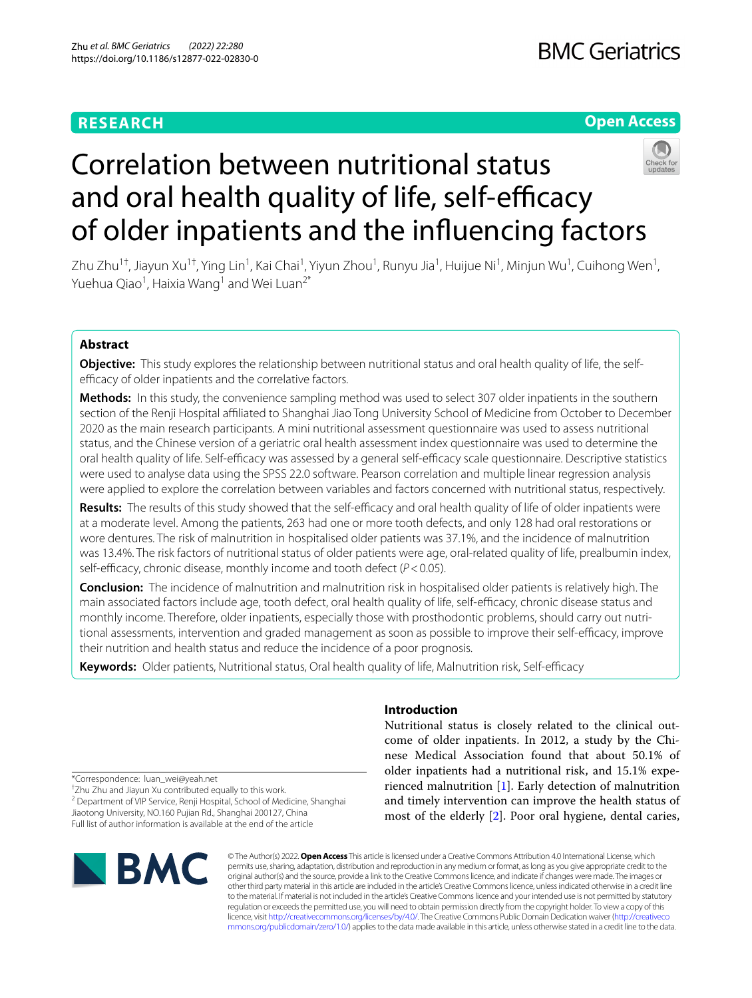# **RESEARCH**

## **Open Access**



# Correlation between nutritional status and oral health quality of life, self-efficacy of older inpatients and the infuencing factors

Zhu Zhu<sup>1†</sup>, Jiayun Xu<sup>1†</sup>, Ying Lin<sup>1</sup>, Kai Chai<sup>1</sup>, Yiyun Zhou<sup>1</sup>, Runyu Jia<sup>1</sup>, Huijue Ni<sup>1</sup>, Minjun Wu<sup>1</sup>, Cuihong Wen<sup>1</sup>, Yuehua Qiao<sup>1</sup>, Haixia Wang<sup>1</sup> and Wei Luan<sup>2\*</sup>

## **Abstract**

**Objective:** This study explores the relationship between nutritional status and oral health quality of life, the selfefficacy of older inpatients and the correlative factors.

**Methods:** In this study, the convenience sampling method was used to select 307 older inpatients in the southern section of the Renji Hospital afliated to Shanghai Jiao Tong University School of Medicine from October to December 2020 as the main research participants. A mini nutritional assessment questionnaire was used to assess nutritional status, and the Chinese version of a geriatric oral health assessment index questionnaire was used to determine the oral health quality of life. Self-efficacy was assessed by a general self-efficacy scale questionnaire. Descriptive statistics were used to analyse data using the SPSS 22.0 software. Pearson correlation and multiple linear regression analysis were applied to explore the correlation between variables and factors concerned with nutritional status, respectively.

**Results:** The results of this study showed that the self-efficacy and oral health quality of life of older inpatients were at a moderate level. Among the patients, 263 had one or more tooth defects, and only 128 had oral restorations or wore dentures. The risk of malnutrition in hospitalised older patients was 37.1%, and the incidence of malnutrition was 13.4%. The risk factors of nutritional status of older patients were age, oral-related quality of life, prealbumin index, self-efficacy, chronic disease, monthly income and tooth defect ( $P < 0.05$ ).

**Conclusion:** The incidence of malnutrition and malnutrition risk in hospitalised older patients is relatively high. The main associated factors include age, tooth defect, oral health quality of life, self-efficacy, chronic disease status and monthly income. Therefore, older inpatients, especially those with prosthodontic problems, should carry out nutritional assessments, intervention and graded management as soon as possible to improve their self-efficacy, improve their nutrition and health status and reduce the incidence of a poor prognosis.

Keywords: Older patients, Nutritional status, Oral health quality of life, Malnutrition risk, Self-efficacy

## **Introduction**

Nutritional status is closely related to the clinical outcome of older inpatients. In 2012, a study by the Chinese Medical Association found that about 50.1% of older inpatients had a nutritional risk, and 15.1% experienced malnutrition [[1\]](#page-6-0). Early detection of malnutrition and timely intervention can improve the health status of most of the elderly [\[2](#page-6-1)]. Poor oral hygiene, dental caries,

\*Correspondence: luan\_wei@yeah.net

† Zhu Zhu and Jiayun Xu contributed equally to this work.

<sup>2</sup> Department of VIP Service, Renji Hospital, School of Medicine, Shanghai Jiaotong University, NO.160 Pujian Rd., Shanghai 200127, China Full list of author information is available at the end of the article



© The Author(s) 2022. **Open Access** This article is licensed under a Creative Commons Attribution 4.0 International License, which permits use, sharing, adaptation, distribution and reproduction in any medium or format, as long as you give appropriate credit to the original author(s) and the source, provide a link to the Creative Commons licence, and indicate if changes were made. The images or other third party material in this article are included in the article's Creative Commons licence, unless indicated otherwise in a credit line to the material. If material is not included in the article's Creative Commons licence and your intended use is not permitted by statutory regulation or exceeds the permitted use, you will need to obtain permission directly from the copyright holder. To view a copy of this licence, visit [http://creativecommons.org/licenses/by/4.0/.](http://creativecommons.org/licenses/by/4.0/) The Creative Commons Public Domain Dedication waiver ([http://creativeco](http://creativecommons.org/publicdomain/zero/1.0/) [mmons.org/publicdomain/zero/1.0/](http://creativecommons.org/publicdomain/zero/1.0/)) applies to the data made available in this article, unless otherwise stated in a credit line to the data.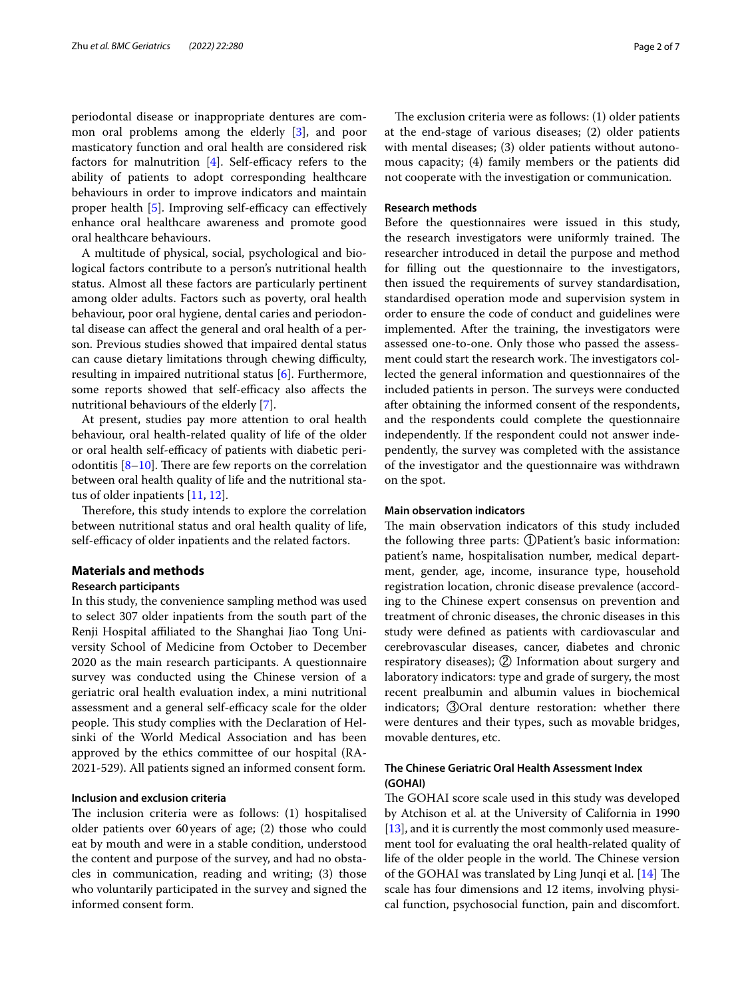periodontal disease or inappropriate dentures are common oral problems among the elderly [\[3](#page-6-2)], and poor masticatory function and oral health are considered risk factors for malnutrition  $[4]$  $[4]$  $[4]$ . Self-efficacy refers to the ability of patients to adopt corresponding healthcare behaviours in order to improve indicators and maintain proper health  $[5]$  $[5]$ . Improving self-efficacy can effectively enhance oral healthcare awareness and promote good oral healthcare behaviours.

A multitude of physical, social, psychological and biological factors contribute to a person's nutritional health status. Almost all these factors are particularly pertinent among older adults. Factors such as poverty, oral health behaviour, poor oral hygiene, dental caries and periodontal disease can afect the general and oral health of a person. Previous studies showed that impaired dental status can cause dietary limitations through chewing difficulty, resulting in impaired nutritional status [[6\]](#page-6-5). Furthermore, some reports showed that self-efficacy also affects the nutritional behaviours of the elderly [[7](#page-6-6)].

At present, studies pay more attention to oral health behaviour, oral health-related quality of life of the older or oral health self-efficacy of patients with diabetic periodontitis  $[8-10]$  $[8-10]$ . There are few reports on the correlation between oral health quality of life and the nutritional status of older inpatients [\[11](#page-6-9), [12\]](#page-6-10).

Therefore, this study intends to explore the correlation between nutritional status and oral health quality of life, self-efficacy of older inpatients and the related factors.

## **Materials and methods**

## **Research participants**

In this study, the convenience sampling method was used to select 307 older inpatients from the south part of the Renji Hospital afliated to the Shanghai Jiao Tong University School of Medicine from October to December 2020 as the main research participants. A questionnaire survey was conducted using the Chinese version of a geriatric oral health evaluation index, a mini nutritional assessment and a general self-efficacy scale for the older people. This study complies with the Declaration of Helsinki of the World Medical Association and has been approved by the ethics committee of our hospital (RA-2021-529). All patients signed an informed consent form.

## **Inclusion and exclusion criteria**

The inclusion criteria were as follows: (1) hospitalised older patients over 60years of age; (2) those who could eat by mouth and were in a stable condition, understood the content and purpose of the survey, and had no obstacles in communication, reading and writing; (3) those who voluntarily participated in the survey and signed the informed consent form.

The exclusion criteria were as follows:  $(1)$  older patients at the end-stage of various diseases; (2) older patients with mental diseases; (3) older patients without autonomous capacity; (4) family members or the patients did not cooperate with the investigation or communication.

#### **Research methods**

Before the questionnaires were issued in this study, the research investigators were uniformly trained. The researcher introduced in detail the purpose and method for flling out the questionnaire to the investigators, then issued the requirements of survey standardisation, standardised operation mode and supervision system in order to ensure the code of conduct and guidelines were implemented. After the training, the investigators were assessed one-to-one. Only those who passed the assessment could start the research work. The investigators collected the general information and questionnaires of the included patients in person. The surveys were conducted after obtaining the informed consent of the respondents, and the respondents could complete the questionnaire independently. If the respondent could not answer independently, the survey was completed with the assistance of the investigator and the questionnaire was withdrawn on the spot.

## **Main observation indicators**

The main observation indicators of this study included the following three parts: ①Patient's basic information: patient's name, hospitalisation number, medical department, gender, age, income, insurance type, household registration location, chronic disease prevalence (according to the Chinese expert consensus on prevention and treatment of chronic diseases, the chronic diseases in this study were defned as patients with cardiovascular and cerebrovascular diseases, cancer, diabetes and chronic respiratory diseases); ② Information about surgery and laboratory indicators: type and grade of surgery, the most recent prealbumin and albumin values in biochemical indicators; ③Oral denture restoration: whether there were dentures and their types, such as movable bridges, movable dentures, etc.

## **The Chinese Geriatric Oral Health Assessment Index (GOHAI)**

The GOHAI score scale used in this study was developed by Atchison et al. at the University of California in 1990 [[13\]](#page-6-11), and it is currently the most commonly used measurement tool for evaluating the oral health-related quality of life of the older people in the world. The Chinese version of the GOHAI was translated by Ling Junqi et al.  $[14]$  $[14]$  The scale has four dimensions and 12 items, involving physical function, psychosocial function, pain and discomfort.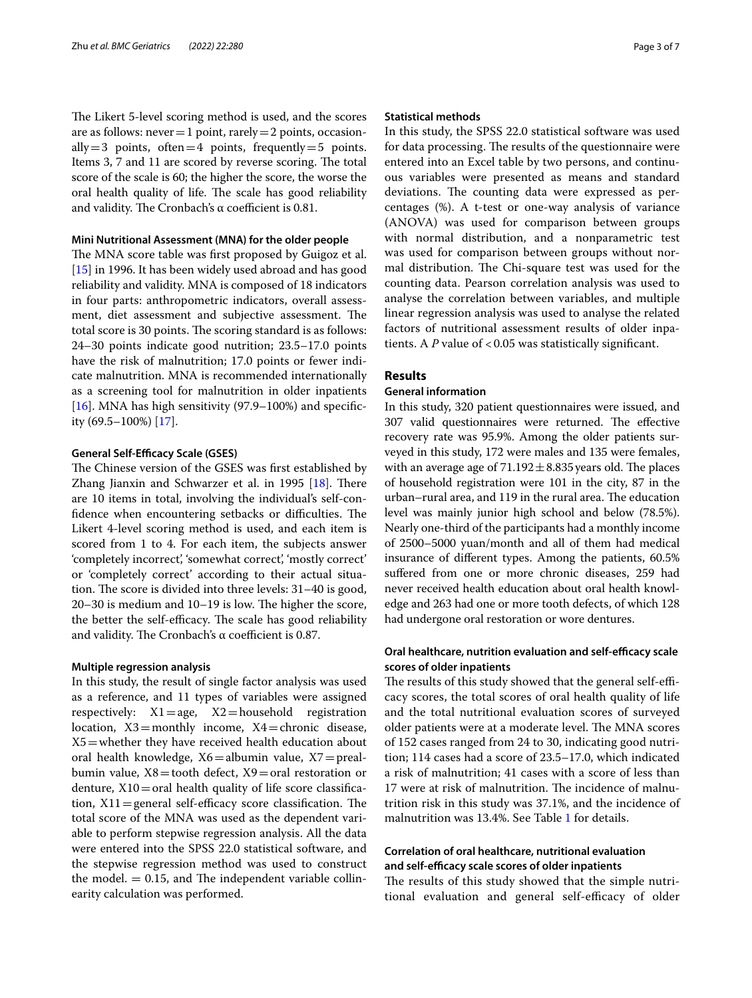The Likert 5-level scoring method is used, and the scores are as follows: never  $=1$  point, rarely  $=2$  points, occasionally = 3 points, often = 4 points, frequently = 5 points. Items 3, 7 and 11 are scored by reverse scoring. The total score of the scale is 60; the higher the score, the worse the oral health quality of life. The scale has good reliability and validity. The Cronbach's  $\alpha$  coefficient is 0.81.

## **Mini Nutritional Assessment (MNA) for the older people**

The MNA score table was first proposed by Guigoz et al. [[15\]](#page-6-13) in 1996. It has been widely used abroad and has good reliability and validity. MNA is composed of 18 indicators in four parts: anthropometric indicators, overall assessment, diet assessment and subjective assessment. The total score is 30 points. The scoring standard is as follows: 24–30 points indicate good nutrition; 23.5–17.0 points have the risk of malnutrition; 17.0 points or fewer indicate malnutrition. MNA is recommended internationally as a screening tool for malnutrition in older inpatients [ $16$ ]. MNA has high sensitivity (97.9–100%) and specificity (69.5–100%) [[17\]](#page-6-15).

## **General Self-Efficacy Scale (GSES)**

The Chinese version of the GSES was first established by Zhang Jianxin and Schwarzer et al. in 1995  $[18]$  $[18]$ . There are 10 items in total, involving the individual's self-confidence when encountering setbacks or difficulties. The Likert 4-level scoring method is used, and each item is scored from 1 to 4. For each item, the subjects answer 'completely incorrect', 'somewhat correct', 'mostly correct' or 'completely correct' according to their actual situation. The score is divided into three levels: 31–40 is good,  $20-30$  is medium and  $10-19$  is low. The higher the score, the better the self-efficacy. The scale has good reliability and validity. The Cronbach's  $\alpha$  coefficient is 0.87.

#### **Multiple regression analysis**

In this study, the result of single factor analysis was used as a reference, and 11 types of variables were assigned respectively:  $X1 = age$ ,  $X2 = household$  registration location,  $X3 =$ monthly income,  $X4 =$ chronic disease, X5=whether they have received health education about oral health knowledge,  $X6=$ albumin value,  $X7=$ prealbumin value,  $X8 =$ tooth defect,  $X9 =$ oral restoration or denture,  $X10 = \text{oral health quality of life score classifica}$ tion,  $X11$  = general self-efficacy score classification. The total score of the MNA was used as the dependent variable to perform stepwise regression analysis. All the data were entered into the SPSS 22.0 statistical software, and the stepwise regression method was used to construct the model.  $= 0.15$ , and The independent variable collinearity calculation was performed.

## **Statistical methods**

In this study, the SPSS 22.0 statistical software was used for data processing. The results of the questionnaire were entered into an Excel table by two persons, and continuous variables were presented as means and standard deviations. The counting data were expressed as percentages (%). A t-test or one-way analysis of variance (ANOVA) was used for comparison between groups with normal distribution, and a nonparametric test was used for comparison between groups without normal distribution. The Chi-square test was used for the counting data. Pearson correlation analysis was used to analyse the correlation between variables, and multiple linear regression analysis was used to analyse the related factors of nutritional assessment results of older inpatients. A *P* value of <0.05 was statistically significant.

### **Results**

## **General information**

In this study, 320 patient questionnaires were issued, and 307 valid questionnaires were returned. The effective recovery rate was 95.9%. Among the older patients surveyed in this study, 172 were males and 135 were females, with an average age of  $71.192 \pm 8.835$  years old. The places of household registration were 101 in the city, 87 in the urban–rural area, and 119 in the rural area. The education level was mainly junior high school and below (78.5%). Nearly one-third of the participants had a monthly income of 2500–5000 yuan/month and all of them had medical insurance of diferent types. Among the patients, 60.5% sufered from one or more chronic diseases, 259 had never received health education about oral health knowledge and 263 had one or more tooth defects, of which 128 had undergone oral restoration or wore dentures.

## **Oral healthcare, nutrition evaluation and self-efficacy scale scores of older inpatients**

The results of this study showed that the general self-efficacy scores, the total scores of oral health quality of life and the total nutritional evaluation scores of surveyed older patients were at a moderate level. The MNA scores of 152 cases ranged from 24 to 30, indicating good nutrition; 114 cases had a score of 23.5–17.0, which indicated a risk of malnutrition; 41 cases with a score of less than 17 were at risk of malnutrition. The incidence of malnutrition risk in this study was 37.1%, and the incidence of malnutrition was 13.4%. See Table [1](#page-3-0) for details.

## **Correlation of oral healthcare, nutritional evaluation and self‑efcacy scale scores of older inpatients**

The results of this study showed that the simple nutritional evaluation and general self-efficacy of older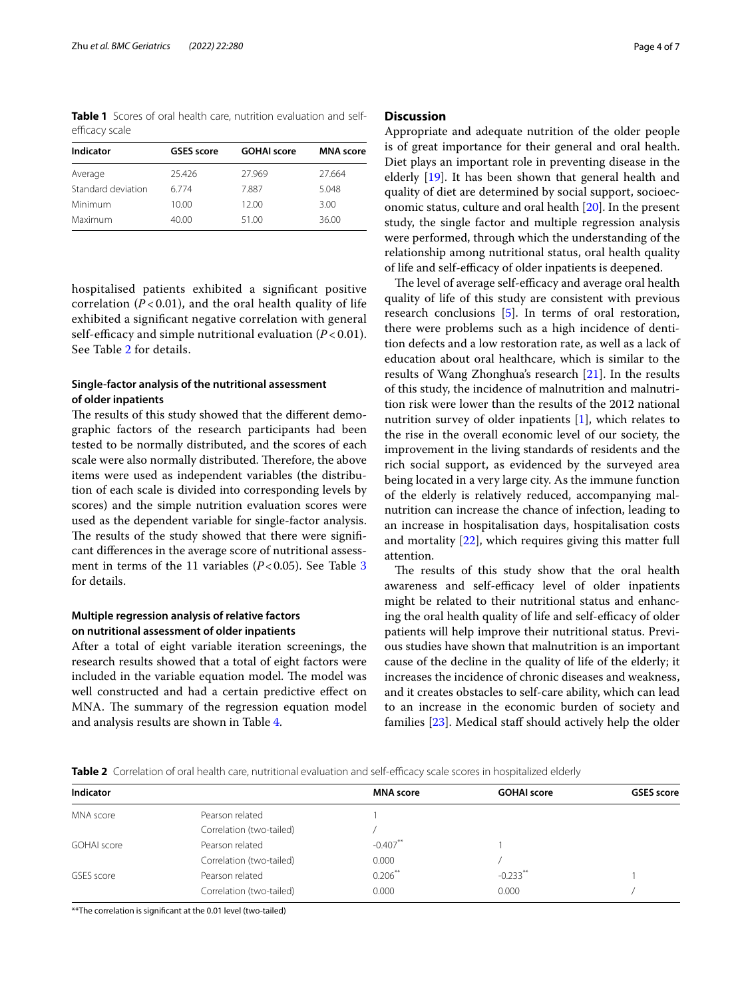<span id="page-3-0"></span>**Table 1** Scores of oral health care, nutrition evaluation and selfefficacy scale

| Indicator          | <b>GSES</b> score | <b>GOHAI</b> score | <b>MNA</b> score |
|--------------------|-------------------|--------------------|------------------|
| Average            | 25.426            | 27.969             | 27.664           |
| Standard deviation | 6774              | 7.887              | 5.048            |
| Minimum            | 10.00             | 12.00              | 3.00             |
| Maximum            | 40.00             | 51.00              | 36.00            |

hospitalised patients exhibited a signifcant positive correlation  $(P<0.01)$ , and the oral health quality of life exhibited a signifcant negative correlation with general self-efficacy and simple nutritional evaluation  $(P<0.01)$ . See Table [2](#page-3-1) for details.

## **Single‑factor analysis of the nutritional assessment of older inpatients**

The results of this study showed that the different demographic factors of the research participants had been tested to be normally distributed, and the scores of each scale were also normally distributed. Therefore, the above items were used as independent variables (the distribution of each scale is divided into corresponding levels by scores) and the simple nutrition evaluation scores were used as the dependent variable for single-factor analysis. The results of the study showed that there were significant diferences in the average score of nutritional assessment in terms of the 11 variables  $(P<0.05)$ . See Table [3](#page-4-0) for details.

## **Multiple regression analysis of relative factors on nutritional assessment of older inpatients**

After a total of eight variable iteration screenings, the research results showed that a total of eight factors were included in the variable equation model. The model was well constructed and had a certain predictive efect on MNA. The summary of the regression equation model and analysis results are shown in Table [4](#page-5-0).

## **Discussion**

Appropriate and adequate nutrition of the older people is of great importance for their general and oral health. Diet plays an important role in preventing disease in the elderly [\[19](#page-6-17)]. It has been shown that general health and quality of diet are determined by social support, socioeconomic status, culture and oral health [\[20](#page-6-18)]. In the present study, the single factor and multiple regression analysis were performed, through which the understanding of the relationship among nutritional status, oral health quality of life and self-efficacy of older inpatients is deepened.

The level of average self-efficacy and average oral health quality of life of this study are consistent with previous research conclusions [\[5](#page-6-4)]. In terms of oral restoration, there were problems such as a high incidence of dentition defects and a low restoration rate, as well as a lack of education about oral healthcare, which is similar to the results of Wang Zhonghua's research [[21\]](#page-6-19). In the results of this study, the incidence of malnutrition and malnutrition risk were lower than the results of the 2012 national nutrition survey of older inpatients [\[1](#page-6-0)], which relates to the rise in the overall economic level of our society, the improvement in the living standards of residents and the rich social support, as evidenced by the surveyed area being located in a very large city. As the immune function of the elderly is relatively reduced, accompanying malnutrition can increase the chance of infection, leading to an increase in hospitalisation days, hospitalisation costs and mortality [[22\]](#page-6-20), which requires giving this matter full attention.

The results of this study show that the oral health awareness and self-efficacy level of older inpatients might be related to their nutritional status and enhancing the oral health quality of life and self-efficacy of older patients will help improve their nutritional status. Previous studies have shown that malnutrition is an important cause of the decline in the quality of life of the elderly; it increases the incidence of chronic diseases and weakness, and it creates obstacles to self-care ability, which can lead to an increase in the economic burden of society and families [[23](#page-6-21)]. Medical staff should actively help the older

<span id="page-3-1"></span>

| Table 2 Correlation of oral health care, nutritional evaluation and self-efficacy scale scores in hospitalized elderly |  |  |
|------------------------------------------------------------------------------------------------------------------------|--|--|
|------------------------------------------------------------------------------------------------------------------------|--|--|

| Indicator   |                          | <b>MNA</b> score | <b>GOHAI score</b>     | <b>GSES</b> score |
|-------------|--------------------------|------------------|------------------------|-------------------|
| MNA score   | Pearson related          |                  |                        |                   |
|             | Correlation (two-tailed) |                  |                        |                   |
| GOHAI score | Pearson related          | $-0.407$ **      |                        |                   |
|             | Correlation (two-tailed) | 0.000            |                        |                   |
| GSES score  | Pearson related          | $0.206***$       | $-0.233$ <sup>**</sup> |                   |
|             | Correlation (two-tailed) | 0.000            | 0.000                  |                   |

\*\*The correlation is signifcant at the 0.01 level (two-tailed)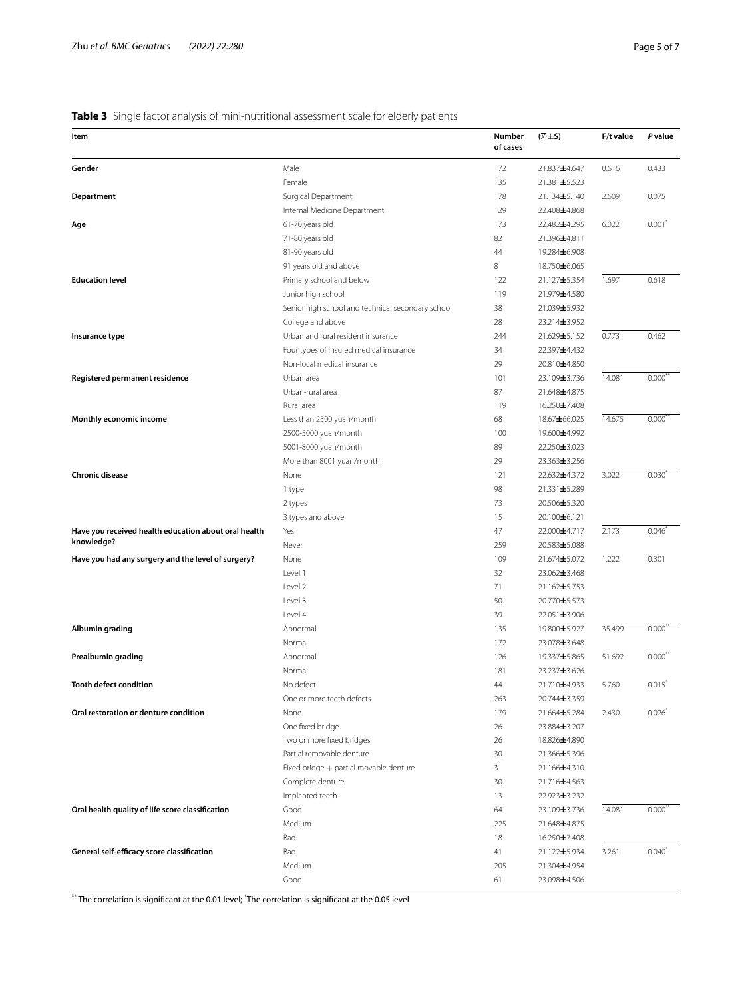## <span id="page-4-0"></span>**Table 3** Single factor analysis of mini-nutritional assessment scale for elderly patients

| Item                                                 |                                                   | Number<br>of cases | $(\overline{X} \pm S)$ | F/t value | P value               |
|------------------------------------------------------|---------------------------------------------------|--------------------|------------------------|-----------|-----------------------|
| Gender                                               | Male                                              | 172                | 21.837±4.647           | 0.616     | 0.433                 |
|                                                      | Female                                            | 135                | 21.381±5.523           |           |                       |
| Department                                           | Surgical Department                               | 178                | 21.134±5.140           | 2.609     | 0.075                 |
|                                                      | Internal Medicine Department                      | 129                | 22.408±4.868           |           |                       |
| Age                                                  | 61-70 years old                                   | 173                | 22.482±4.295           | 6.022     | $0.001^*$             |
|                                                      | 71-80 years old                                   | 82                 | 21.396±4.811           |           |                       |
|                                                      | 81-90 years old                                   | 44                 | 19.284±6.908           |           |                       |
|                                                      | 91 years old and above                            | 8                  | 18.750±6.065           |           |                       |
| <b>Education level</b>                               | Primary school and below                          | 122                | 21.127±5.354           | 1.697     | 0.618                 |
|                                                      | Junior high school                                | 119                | 21.979±4.580           |           |                       |
|                                                      | Senior high school and technical secondary school | 38                 | 21.039±5.932           |           |                       |
|                                                      | College and above                                 | 28                 | 23.214±3.952           |           |                       |
| Insurance type                                       | Urban and rural resident insurance                | 244                | 21.629±5.152           | 0.773     | 0.462                 |
|                                                      | Four types of insured medical insurance           | 34                 | 22.397±4.432           |           |                       |
|                                                      | Non-local medical insurance                       | 29                 | 20.810±4.850           |           |                       |
| Registered permanent residence                       | Urban area                                        | 101                | 23.109±3.736           | 14.081    | $0.000^{\degree}$     |
|                                                      | Urban-rural area                                  | 87                 | 21.648±4.875           |           |                       |
|                                                      | Rural area                                        | 119                | 16.250±7.408           |           |                       |
| Monthly economic income                              | Less than 2500 yuan/month                         | 68                 | 18.67±66.025           | 14.675    | 0.000                 |
|                                                      | 2500-5000 yuan/month                              | 100                | 19.600 $\pm$ 4.992     |           |                       |
|                                                      | 5001-8000 yuan/month                              | 89                 | 22.250±3.023           |           |                       |
|                                                      | More than 8001 yuan/month                         | 29                 | 23.363±3.256           |           |                       |
| <b>Chronic disease</b>                               | None                                              | 121                | 22.632±4.372           | 3.022     | 0.030                 |
|                                                      | 1 type                                            | 98                 | 21.331±5.289           |           |                       |
|                                                      | 2 types                                           | 73                 | 20.506±5.320           |           |                       |
|                                                      | 3 types and above                                 | 15                 | 20.100±6.121           |           |                       |
| Have you received health education about oral health | Yes                                               | 47                 | 22.000±4.717           | 2.173     | 0.046                 |
| knowledge?                                           |                                                   | 259                |                        |           |                       |
|                                                      | Never                                             | 109                | 20.583±5.088           |           | 0.301                 |
| Have you had any surgery and the level of surgery?   | None                                              |                    | 21.674±5.072           | 1.222     |                       |
|                                                      | Level 1                                           | 32                 | 23.062±3.468           |           |                       |
|                                                      | Level 2                                           | 71                 | 21.162±5.753           |           |                       |
|                                                      | Level 3                                           | 50                 | 20.770±5.573           |           |                       |
|                                                      | Level 4                                           | 39                 | 22.051±3.906           |           |                       |
| Albumin grading                                      | Abnormal                                          | 135                | 19.800 $\pm$ 5.927     | 35.499    | 0.000"                |
|                                                      | Normal                                            | 172                | 23.078±3.648           |           |                       |
| Prealbumin grading                                   | Abnormal                                          | 126                | 19.337±5.865           | 51.692    | $0.000$ <sup>**</sup> |
|                                                      | Normal                                            | 181                | 23.237±3.626           |           |                       |
| <b>Tooth defect condition</b>                        | No defect                                         | 44                 | 21.710±4.933           | 5.760     | $0.015*$              |
|                                                      | One or more teeth defects                         | 263                | 20.744±3.359           |           |                       |
| Oral restoration or denture condition                | None                                              | 179                | 21.664±5.284           | 2.430     | 0.026                 |
|                                                      | One fixed bridge                                  | 26                 | 23.884±3.207           |           |                       |
|                                                      | Two or more fixed bridges                         | 26                 | 18.826±4.890           |           |                       |
|                                                      | Partial removable denture                         | 30                 | 21.366±5.396           |           |                       |
|                                                      | Fixed bridge + partial movable denture            | 3                  | 21.166±4.310           |           |                       |
|                                                      | Complete denture                                  | 30                 | 21.716±4.563           |           |                       |
|                                                      | Implanted teeth                                   | 13                 | 22.923±3.232           |           |                       |
| Oral health quality of life score classification     | Good                                              | 64                 | 23.109±3.736           | 14.081    | $0.000^*$             |
|                                                      | Medium                                            | 225                | 21.648±4.875           |           |                       |
|                                                      | Bad                                               | 18                 | 16.250±7.408           |           |                       |
| General self-efficacy score classification           | Bad                                               | 41                 | 21.122±5.934           | 3.261     | 0.040                 |
|                                                      | Medium                                            | 205                | 21.304±4.954           |           |                       |
|                                                      | Good                                              | 61                 | 23.098±4.506           |           |                       |
|                                                      |                                                   |                    |                        |           |                       |

 $^\ast$  The correlation is significant at the 0.01 level;  $^\ast$ The correlation is significant at the 0.05 level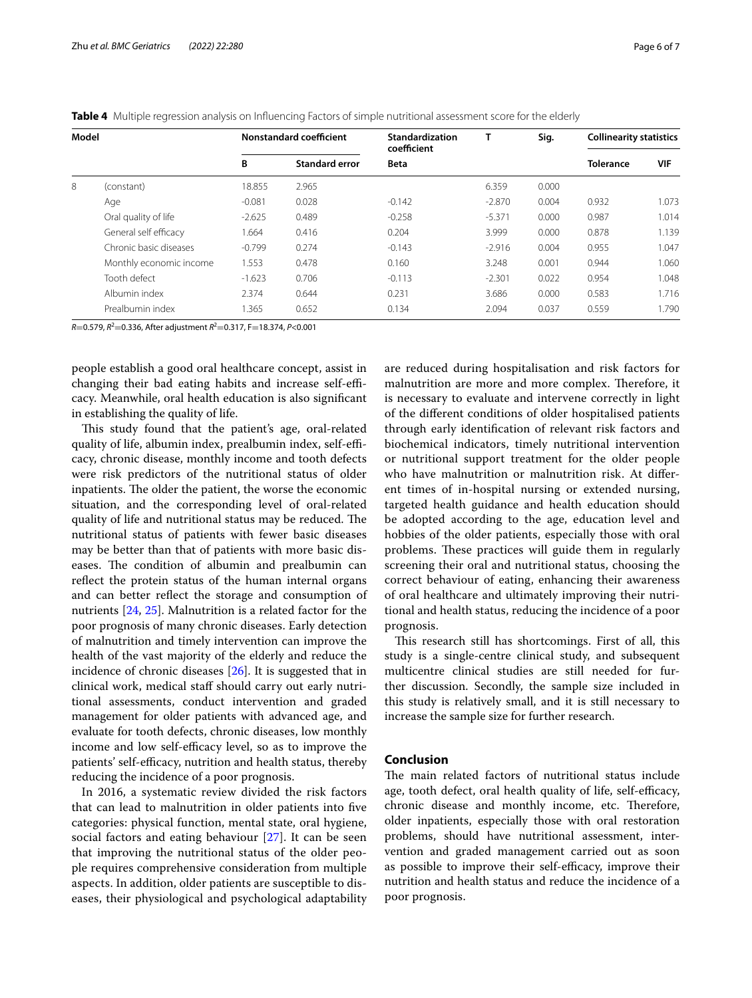|   | Model                   | <b>Nonstandard coefficient</b> |                       | Standardization<br>coefficient | т        | Sig.  | <b>Collinearity statistics</b> |       |
|---|-------------------------|--------------------------------|-----------------------|--------------------------------|----------|-------|--------------------------------|-------|
|   |                         | B                              | <b>Standard error</b> | <b>Beta</b>                    |          |       | <b>Tolerance</b>               | VIF   |
| 8 | (constant)              | 18.855                         | 2.965                 |                                | 6.359    | 0.000 |                                |       |
|   | Age                     | $-0.081$                       | 0.028                 | $-0.142$                       | $-2.870$ | 0.004 | 0.932                          | 1.073 |
|   | Oral quality of life    | $-2.625$                       | 0.489                 | $-0.258$                       | $-5.371$ | 0.000 | 0.987                          | 1.014 |
|   | General self efficacy   | 1.664                          | 0.416                 | 0.204                          | 3.999    | 0.000 | 0.878                          | 1.139 |
|   | Chronic basic diseases  | $-0.799$                       | 0.274                 | $-0.143$                       | $-2.916$ | 0.004 | 0.955                          | 1.047 |
|   | Monthly economic income | 1.553                          | 0.478                 | 0.160                          | 3.248    | 0.001 | 0.944                          | 1.060 |
|   | Tooth defect            | $-1.623$                       | 0.706                 | $-0.113$                       | $-2.301$ | 0.022 | 0.954                          | 1.048 |
|   | Albumin index           | 2.374                          | 0.644                 | 0.231                          | 3.686    | 0.000 | 0.583                          | 1.716 |
|   | Prealbumin index        | .365                           | 0.652                 | 0.134                          | 2.094    | 0.037 | 0.559                          | 1.790 |

<span id="page-5-0"></span>**Table 4** Multiple regression analysis on Infuencing Factors of simple nutritional assessment score for the elderly

*R*=0.579, *R*<sup>2</sup>=0.336, After adjustment *R*<sup>2</sup>=0.317, F=18.374, *P*<0.001

people establish a good oral healthcare concept, assist in changing their bad eating habits and increase self-efficacy. Meanwhile, oral health education is also signifcant in establishing the quality of life.

This study found that the patient's age, oral-related quality of life, albumin index, prealbumin index, self-efficacy, chronic disease, monthly income and tooth defects were risk predictors of the nutritional status of older inpatients. The older the patient, the worse the economic situation, and the corresponding level of oral-related quality of life and nutritional status may be reduced. The nutritional status of patients with fewer basic diseases may be better than that of patients with more basic diseases. The condition of albumin and prealbumin can reflect the protein status of the human internal organs and can better refect the storage and consumption of nutrients [\[24,](#page-6-22) [25\]](#page-6-23). Malnutrition is a related factor for the poor prognosis of many chronic diseases. Early detection of malnutrition and timely intervention can improve the health of the vast majority of the elderly and reduce the incidence of chronic diseases [\[26](#page-6-24)]. It is suggested that in clinical work, medical staf should carry out early nutritional assessments, conduct intervention and graded management for older patients with advanced age, and evaluate for tooth defects, chronic diseases, low monthly income and low self-efficacy level, so as to improve the patients' self-efficacy, nutrition and health status, thereby reducing the incidence of a poor prognosis.

In 2016, a systematic review divided the risk factors that can lead to malnutrition in older patients into fve categories: physical function, mental state, oral hygiene, social factors and eating behaviour [\[27](#page-6-25)]. It can be seen that improving the nutritional status of the older people requires comprehensive consideration from multiple aspects. In addition, older patients are susceptible to diseases, their physiological and psychological adaptability are reduced during hospitalisation and risk factors for malnutrition are more and more complex. Therefore, it is necessary to evaluate and intervene correctly in light of the diferent conditions of older hospitalised patients through early identifcation of relevant risk factors and biochemical indicators, timely nutritional intervention or nutritional support treatment for the older people who have malnutrition or malnutrition risk. At diferent times of in-hospital nursing or extended nursing, targeted health guidance and health education should be adopted according to the age, education level and hobbies of the older patients, especially those with oral problems. These practices will guide them in regularly screening their oral and nutritional status, choosing the correct behaviour of eating, enhancing their awareness of oral healthcare and ultimately improving their nutritional and health status, reducing the incidence of a poor prognosis.

This research still has shortcomings. First of all, this study is a single-centre clinical study, and subsequent multicentre clinical studies are still needed for further discussion. Secondly, the sample size included in this study is relatively small, and it is still necessary to increase the sample size for further research.

## **Conclusion**

The main related factors of nutritional status include age, tooth defect, oral health quality of life, self-efficacy, chronic disease and monthly income, etc. Therefore, older inpatients, especially those with oral restoration problems, should have nutritional assessment, intervention and graded management carried out as soon as possible to improve their self-efficacy, improve their nutrition and health status and reduce the incidence of a poor prognosis.